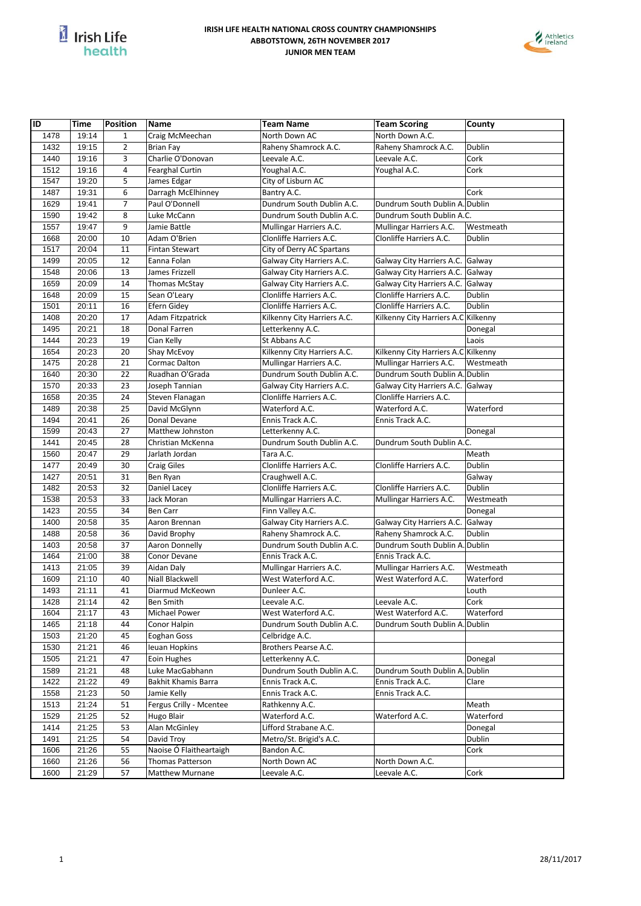



| ID   | Time  | <b>Position</b> | <b>Name</b>             | <b>Team Name</b>            | <b>Team Scoring</b>                 | County    |
|------|-------|-----------------|-------------------------|-----------------------------|-------------------------------------|-----------|
| 1478 | 19:14 | $\mathbf{1}$    | Craig McMeechan         | North Down AC               | North Down A.C.                     |           |
| 1432 | 19:15 | $\overline{2}$  | <b>Brian Fay</b>        | Raheny Shamrock A.C.        | Raheny Shamrock A.C.                | Dublin    |
| 1440 | 19:16 | 3               | Charlie O'Donovan       | Leevale A.C.                | Leevale A.C.                        | Cork      |
| 1512 | 19:16 | 4               | <b>Fearghal Curtin</b>  | Youghal A.C.                | Youghal A.C.                        | Cork      |
| 1547 | 19:20 | 5               | James Edgar             | City of Lisburn AC          |                                     |           |
| 1487 | 19:31 | 6               | Darragh McElhinney      | Bantry A.C.                 |                                     | Cork      |
| 1629 | 19:41 | $\overline{7}$  | Paul O'Donnell          | Dundrum South Dublin A.C.   | Dundrum South Dublin A. Dublin      |           |
| 1590 | 19:42 | 8               | Luke McCann             | Dundrum South Dublin A.C.   | Dundrum South Dublin A.C.           |           |
| 1557 | 19:47 | 9               | Jamie Battle            | Mullingar Harriers A.C.     | Mullingar Harriers A.C.             | Westmeath |
| 1668 | 20:00 | 10              | Adam O'Brien            | Clonliffe Harriers A.C.     | Clonliffe Harriers A.C.             | Dublin    |
| 1517 | 20:04 | 11              | <b>Fintan Stewart</b>   | City of Derry AC Spartans   |                                     |           |
| 1499 | 20:05 | 12              | Eanna Folan             | Galway City Harriers A.C.   | Galway City Harriers A.C.           | Galway    |
| 1548 | 20:06 | 13              | James Frizzell          | Galway City Harriers A.C.   | Galway City Harriers A.C.           | Galway    |
| 1659 | 20:09 | 14              | Thomas McStay           | Galway City Harriers A.C.   | Galway City Harriers A.C.           | Galway    |
| 1648 | 20:09 | 15              | Sean O'Leary            | Clonliffe Harriers A.C.     | Clonliffe Harriers A.C.             | Dublin    |
| 1501 | 20:11 | 16              | Efern Gidey             | Clonliffe Harriers A.C.     | Clonliffe Harriers A.C.             | Dublin    |
| 1408 | 20:20 | 17              | Adam Fitzpatrick        | Kilkenny City Harriers A.C. | Kilkenny City Harriers A.C Kilkenny |           |
| 1495 | 20:21 | 18              | Donal Farren            | Letterkenny A.C.            |                                     | Donegal   |
| 1444 | 20:23 | 19              | Cian Kelly              | St Abbans A.C               |                                     | Laois     |
| 1654 | 20:23 | 20              | <b>Shay McEvoy</b>      | Kilkenny City Harriers A.C. | Kilkenny City Harriers A.C Kilkenny |           |
| 1475 | 20:28 | 21              | Cormac Dalton           | Mullingar Harriers A.C.     | Mullingar Harriers A.C.             | Westmeath |
| 1640 | 20:30 | 22              | Ruadhan O'Grada         | Dundrum South Dublin A.C.   | Dundrum South Dublin A. Dublin      |           |
| 1570 | 20:33 | 23              | Joseph Tannian          | Galway City Harriers A.C.   | Galway City Harriers A.C.           | Galway    |
| 1658 | 20:35 | 24              | Steven Flanagan         | Clonliffe Harriers A.C.     | Clonliffe Harriers A.C.             |           |
| 1489 | 20:38 | 25              | David McGlynn           | Waterford A.C.              | Waterford A.C.                      | Waterford |
| 1494 | 20:41 | 26              | Donal Devane            | Ennis Track A.C.            | Ennis Track A.C.                    |           |
| 1599 | 20:43 | 27              | Matthew Johnston        | Letterkenny A.C.            |                                     |           |
| 1441 | 20:45 | 28              |                         | Dundrum South Dublin A.C.   | Dundrum South Dublin A.C.           | Donegal   |
|      |       |                 | Christian McKenna       |                             |                                     |           |
| 1560 | 20:47 | 29              | Jarlath Jordan          | Tara A.C.                   |                                     | Meath     |
| 1477 | 20:49 | 30              | <b>Craig Giles</b>      | Clonliffe Harriers A.C.     | Clonliffe Harriers A.C.             | Dublin    |
| 1427 | 20:51 | 31              | Ben Ryan                | Craughwell A.C.             |                                     | Galway    |
| 1482 | 20:53 | 32              | Daniel Lacey            | Clonliffe Harriers A.C.     | Clonliffe Harriers A.C.             | Dublin    |
| 1538 | 20:53 | 33              | Jack Moran              | Mullingar Harriers A.C.     | Mullingar Harriers A.C.             | Westmeath |
| 1423 | 20:55 | 34              | <b>Ben Carr</b>         | Finn Valley A.C.            |                                     | Donegal   |
| 1400 | 20:58 | 35              | Aaron Brennan           | Galway City Harriers A.C.   | Galway City Harriers A.C.           | Galway    |
| 1488 | 20:58 | 36              | David Brophy            | Raheny Shamrock A.C.        | Raheny Shamrock A.C.                | Dublin    |
| 1403 | 20:58 | 37              | Aaron Donnelly          | Dundrum South Dublin A.C.   | Dundrum South Dublin A. Dublin      |           |
| 1464 | 21:00 | 38              | Conor Devane            | Ennis Track A.C.            | Ennis Track A.C.                    |           |
| 1413 | 21:05 | 39              | Aidan Daly              | Mullingar Harriers A.C.     | Mullingar Harriers A.C.             | Westmeath |
| 1609 | 21:10 | 40              | Niall Blackwell         | West Waterford A.C.         | West Waterford A.C.                 | Waterford |
| 1493 | 21:11 | 41              | Diarmud McKeown         | Dunleer A.C.                |                                     | Louth     |
| 1428 | 21:14 | 42              | <b>Ben Smith</b>        | Leevale A.C.                | Leevale A.C.                        | Cork      |
| 1604 | 21:17 | 43              | Michael Power           | West Waterford A.C.         | West Waterford A.C.                 | Waterford |
| 1465 | 21:18 | 44              | Conor Halpin            | Dundrum South Dublin A.C.   | Dundrum South Dublin A. Dublin      |           |
| 1503 | 21:20 | 45              | Eoghan Goss             | Celbridge A.C.              |                                     |           |
| 1530 | 21:21 | 46              | leuan Hopkins           | Brothers Pearse A.C.        |                                     |           |
| 1505 | 21:21 | 47              | Eoin Hughes             | Letterkenny A.C.            |                                     | Donegal   |
| 1589 | 21:21 | 48              | Luke MacGabhann         | Dundrum South Dublin A.C.   | Dundrum South Dublin A. Dublin      |           |
| 1422 | 21:22 | 49              | Bakhit Khamis Barra     | Ennis Track A.C.            | Ennis Track A.C.                    | Clare     |
| 1558 | 21:23 | 50              | Jamie Kelly             | Ennis Track A.C.            | Ennis Track A.C.                    |           |
| 1513 | 21:24 | 51              | Fergus Crilly - Mcentee | Rathkenny A.C.              |                                     | Meath     |
| 1529 | 21:25 | 52              | Hugo Blair              | Waterford A.C.              | Waterford A.C.                      | Waterford |
| 1414 | 21:25 | 53              | <b>Alan McGinley</b>    | Lifford Strabane A.C.       |                                     | Donegal   |
| 1491 | 21:25 | 54              | David Troy              | Metro/St. Brigid's A.C.     |                                     | Dublin    |
| 1606 | 21:26 | 55              | Naoise Ó Flaitheartaigh | Bandon A.C.                 |                                     | Cork      |
| 1660 | 21:26 | 56              | Thomas Patterson        | North Down AC               | North Down A.C.                     |           |
| 1600 | 21:29 | 57              | <b>Matthew Murnane</b>  | Leevale A.C.                | Leevale A.C.                        | Cork      |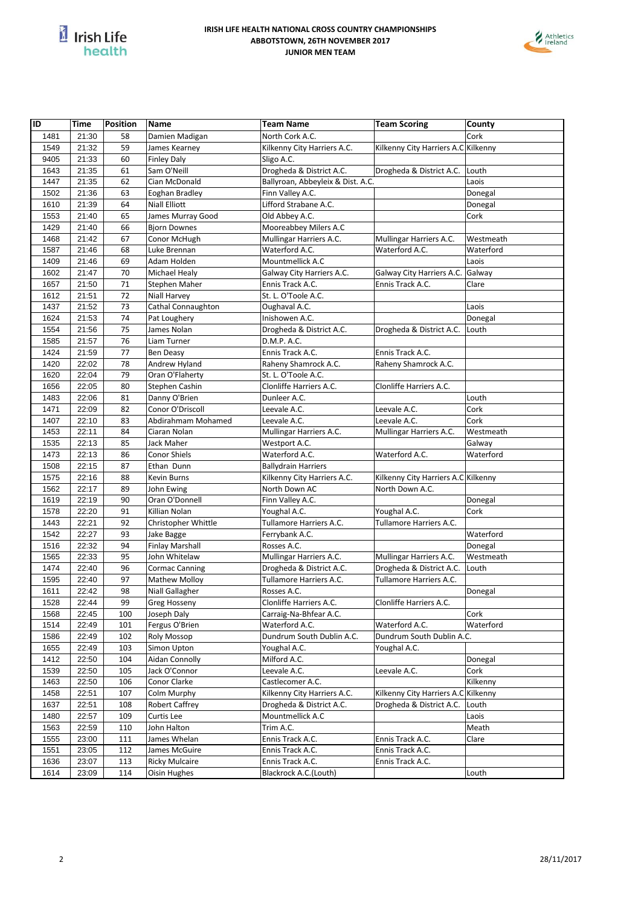



| ID   | Time           | <b>Position</b> | <b>Name</b>            | <b>Team Name</b>                  | <b>Team Scoring</b>                 | County    |
|------|----------------|-----------------|------------------------|-----------------------------------|-------------------------------------|-----------|
| 1481 | 21:30          | 58              | Damien Madigan         | North Cork A.C.                   |                                     | Cork      |
| 1549 | 21:32          | 59              | James Kearney          | Kilkenny City Harriers A.C.       | Kilkenny City Harriers A.C Kilkenny |           |
| 9405 | 21:33          | 60              | <b>Finley Daly</b>     | Sligo A.C.                        |                                     |           |
| 1643 | 21:35          | 61              | Sam O'Neill            | Drogheda & District A.C.          | Drogheda & District A.C.            | Louth     |
| 1447 | 21:35          | 62              | Cian McDonald          | Ballyroan, Abbeyleix & Dist. A.C. |                                     | Laois     |
| 1502 | 21:36          | 63              | Eoghan Bradley         | Finn Valley A.C.                  |                                     | Donegal   |
| 1610 | 21:39          | 64              | <b>Niall Elliott</b>   | Lifford Strabane A.C.             |                                     | Donegal   |
| 1553 | 21:40          | 65              | James Murray Good      | Old Abbey A.C.                    |                                     | Cork      |
| 1429 | 21:40          | 66              | <b>Bjorn Downes</b>    | Mooreabbey Milers A.C             |                                     |           |
| 1468 | 21:42          | 67              | Conor McHugh           | Mullingar Harriers A.C.           | Mullingar Harriers A.C.             | Westmeath |
| 1587 | 21:46          | 68              | Luke Brennan           | Waterford A.C.                    | Waterford A.C.                      | Waterford |
| 1409 | 21:46          | 69              | Adam Holden            | Mountmellick A.C                  |                                     | Laois     |
| 1602 | 21:47          | 70              | Michael Healy          | Galway City Harriers A.C.         | Galway City Harriers A.C.           | Galway    |
| 1657 | 21:50          | 71              | Stephen Maher          | Ennis Track A.C.                  | Ennis Track A.C.                    | Clare     |
| 1612 | 21:51          | 72              | Niall Harvey           | St. L. O'Toole A.C.               |                                     |           |
| 1437 | 21:52          | 73              | Cathal Connaughton     | Oughaval A.C.                     |                                     | Laois     |
| 1624 | 21:53          | 74              | Pat Loughery           | Inishowen A.C.                    |                                     | Donegal   |
| 1554 | 21:56          | 75              | James Nolan            | Drogheda & District A.C.          | Drogheda & District A.C.            | Louth     |
| 1585 | 21:57          | 76              | Liam Turner            | D.M.P. A.C.                       |                                     |           |
| 1424 | 21:59          | 77              | Ben Deasy              | Ennis Track A.C.                  | Ennis Track A.C.                    |           |
| 1420 | 22:02          | 78              | Andrew Hyland          | Raheny Shamrock A.C.              | Raheny Shamrock A.C.                |           |
| 1620 | 22:04          | 79              | Oran O'Flaherty        | St. L. O'Toole A.C.               |                                     |           |
| 1656 | 22:05          | 80              | Stephen Cashin         | Clonliffe Harriers A.C.           | Clonliffe Harriers A.C.             |           |
| 1483 | 22:06          | 81              | Danny O'Brien          | Dunleer A.C.                      |                                     | Louth     |
| 1471 |                | 82              | Conor O'Driscoll       | Leevale A.C.                      | Leevale A.C.                        | Cork      |
|      | 22:09<br>22:10 |                 | Abdirahmam Mohamed     | Leevale A.C.                      | Leevale A.C.                        | Cork      |
| 1407 |                | 83              | Ciaran Nolan           |                                   |                                     |           |
| 1453 | 22:11          | 84              |                        | Mullingar Harriers A.C.           | Mullingar Harriers A.C.             | Westmeath |
| 1535 | 22:13          | 85              | Jack Maher             | Westport A.C.                     |                                     | Galway    |
| 1473 | 22:13          | 86              | Conor Shiels           | Waterford A.C.                    | Waterford A.C.                      | Waterford |
| 1508 | 22:15          | 87              | Ethan Dunn             | <b>Ballydrain Harriers</b>        |                                     |           |
| 1575 | 22:16          | 88              | Kevin Burns            | Kilkenny City Harriers A.C.       | Kilkenny City Harriers A.C Kilkenny |           |
| 1562 | 22:17          | 89              | John Ewing             | North Down AC                     | North Down A.C.                     |           |
| 1619 | 22:19          | 90              | Oran O'Donnell         | Finn Valley A.C.                  |                                     | Donegal   |
| 1578 | 22:20          | 91              | Killian Nolan          | Youghal A.C.                      | Youghal A.C.                        | Cork      |
| 1443 | 22:21          | 92              | Christopher Whittle    | Tullamore Harriers A.C.           | Tullamore Harriers A.C.             |           |
| 1542 | 22:27          | 93              | Jake Bagge             | Ferrybank A.C.                    |                                     | Waterford |
| 1516 | 22:32          | 94              | <b>Finlay Marshall</b> | Rosses A.C.                       |                                     | Donegal   |
| 1565 | 22:33          | 95              | John Whitelaw          | Mullingar Harriers A.C.           | Mullingar Harriers A.C.             | Westmeath |
| 1474 | 22:40          | 96              | <b>Cormac Canning</b>  | Drogheda & District A.C.          | Drogheda & District A.C.            | Louth     |
| 1595 | 22:40          | 97              | <b>Mathew Molloy</b>   | Tullamore Harriers A.C.           | Tullamore Harriers A.C.             |           |
| 1611 | 22:42          | 98              | Niall Gallagher        | Rosses A.C.                       |                                     | Donegal   |
| 1528 | 22:44          | 99              | Greg Hosseny           | Clonliffe Harriers A.C.           | Clonliffe Harriers A.C.             |           |
| 1568 | 22:45          | 100             | Joseph Daly            | Carraig-Na-Bhfear A.C.            |                                     | Cork      |
| 1514 | 22:49          | 101             | Fergus O'Brien         | Waterford A.C.                    | Waterford A.C.                      | Waterford |
| 1586 | 22:49          | 102             | Roly Mossop            | Dundrum South Dublin A.C.         | Dundrum South Dublin A.C.           |           |
| 1655 | 22:49          | 103             | Simon Upton            | Youghal A.C.                      | Youghal A.C.                        |           |
| 1412 | 22:50          | 104             | Aidan Connolly         | Milford A.C.                      |                                     | Donegal   |
| 1539 | 22:50          | 105             | Jack O'Connor          | Leevale A.C.                      | Leevale A.C.                        | Cork      |
| 1463 | 22:50          | 106             | Conor Clarke           | Castlecomer A.C.                  |                                     | Kilkenny  |
| 1458 | 22:51          | 107             | Colm Murphy            | Kilkenny City Harriers A.C.       | Kilkenny City Harriers A.C Kilkenny |           |
| 1637 | 22:51          | 108             | <b>Robert Caffrey</b>  | Drogheda & District A.C.          | Drogheda & District A.C.            | Louth     |
| 1480 | 22:57          | 109             | Curtis Lee             | Mountmellick A.C                  |                                     | Laois     |
| 1563 | 22:59          | 110             | John Halton            | Trim A.C.                         |                                     | Meath     |
| 1555 | 23:00          | 111             | James Whelan           | Ennis Track A.C.                  | Ennis Track A.C.                    | Clare     |
| 1551 | 23:05          | 112             | James McGuire          | Ennis Track A.C.                  | Ennis Track A.C.                    |           |
| 1636 | 23:07          | 113             | <b>Ricky Mulcaire</b>  | Ennis Track A.C.                  | Ennis Track A.C.                    |           |
| 1614 | 23:09          | 114             | Oisin Hughes           | Blackrock A.C.(Louth)             |                                     | Louth     |